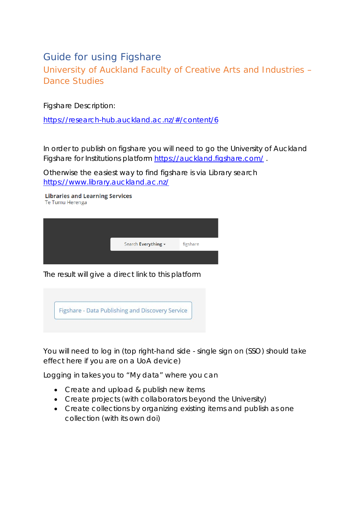# Guide for using Figshare

University of Auckland Faculty of Creative Arts and Industries – Dance Studies

Figshare Description:

<https://research-hub.auckland.ac.nz/#/content/6>

In order to publish on figshare you will need to go the University of Auckland Figshare for Institutions platform<https://auckland.figshare.com/> .

Otherwise the easiest way to find figshare is via Library search <https://www.library.auckland.ac.nz/>

**Libraries and Learning Services** Te Tumu Herenga



The result will give a direct link to this platform



You will need to log in (top right-hand side - single sign on (SSO) should take effect here if you are on a UoA device)

Logging in takes you to "My data" where you can

- Create and upload & publish new items
- Create projects (with collaborators beyond the University)
- Create collections by organizing existing items and publish as one collection (with its own doi)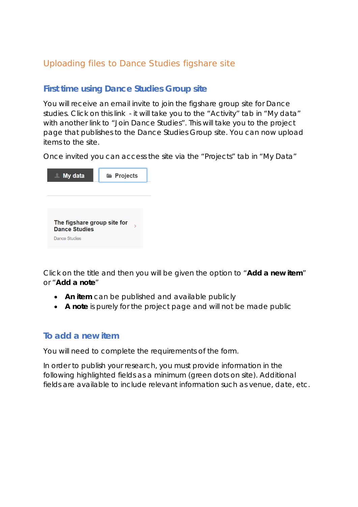## Uploading files to Dance Studies figshare site

## **First time using Dance Studies Group site**

You will receive an email invite to join the figshare group site for Dance studies. Click on this link - it will take you to the "Activity" tab in "My data" with another link to "Join Dance Studies". This will take you to the project page that publishes to the Dance Studies Group site. You can now upload items to the site.

Once invited you can access the site via the "Projects" tab in "My Data"



Click on the title and then you will be given the option to "*Add a new item*" or "*Add a note*"

- **An item** can be published and available publicly
- **A note** is purely for the project page and will not be made public

## **To add a new item**

You will need to complete the requirements of the form.

In order to publish your research, you must provide information in the following highlighted fields as a minimum (green dots on site). Additional fields are available to include relevant information such as venue, date, etc.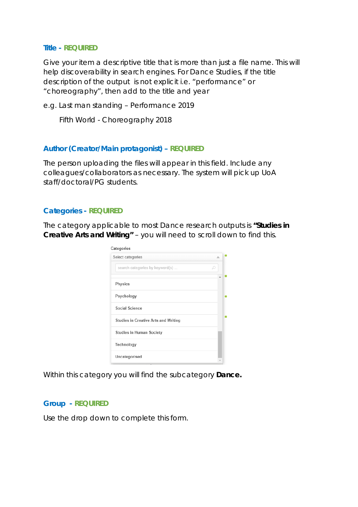#### **Title - REQUIRED**

Give your item a descriptive title that is more than just a file name. This will help discoverability in search engines. For Dance Studies, if the title description of the output is not explicit i.e. "performance" or "choreography", then add to the title and year

e.g. Last man standing – Performance 2019

Fifth World - Choreography 2018

### **Author (Creator/Main protagonist) – REQUIRED**

The person uploading the files will appear in this field. Include any colleagues/collaborators as necessary. The system will pick up UoA staff/doctoral/PG students.

### **Categories - REQUIRED**

The category applicable to most Dance research outputs is **"***Studies in Creative Arts and Writing"* – you will need to scroll down to find this.

| Select categories                           |   |
|---------------------------------------------|---|
| search categories by keyword(s)             | æ |
| Physics                                     |   |
| Psychology                                  |   |
| Social Science                              |   |
| <b>Studies in Creative Arts and Writing</b> |   |
| <b>Studies in Human Society</b>             |   |
| Technology                                  |   |
|                                             |   |

Within this category you will find the subcategory *Dance.*

#### **Group** *-* **REQUIRED**

Use the drop down to complete this form.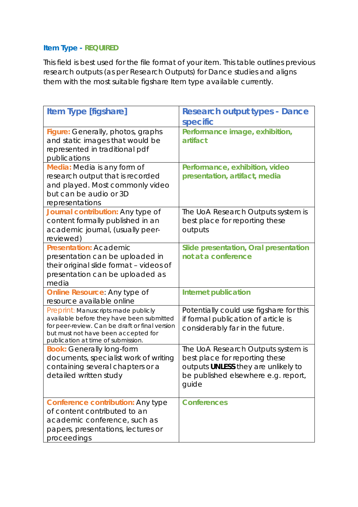## **Item Type - REQUIRED**

This field is best used for the file format of your item. This table outlines previous research outputs (as per Research Outputs) for Dance studies and aligns them with the most suitable figshare Item type available currently.

| <b>Item Type [figshare]</b>                                                                                                                                                                                     | <b>Research output types - Dance</b><br>specific                                                                                                            |
|-----------------------------------------------------------------------------------------------------------------------------------------------------------------------------------------------------------------|-------------------------------------------------------------------------------------------------------------------------------------------------------------|
| Figure: Generally, photos, graphs<br>and static images that would be<br>represented in traditional pdf<br>publications                                                                                          | Performance image, exhibition,<br>artifact                                                                                                                  |
| Media: Media is any form of<br>research output that is recorded<br>and played. Most commonly video<br>but can be audio or 3D<br>representations                                                                 | Performance, exhibition, video<br>presentation, artifact, media                                                                                             |
| Journal contribution: Any type of<br>content formally published in an<br>academic journal, (usually peer-<br>reviewed)                                                                                          | The UoA Research Outputs system is<br>best place for reporting these<br>outputs                                                                             |
| <b>Presentation: Academic</b><br>presentation can be uploaded in<br>their original slide format - videos of<br>presentation can be uploaded as<br>media                                                         | Slide presentation, Oral presentation<br>not at a conference                                                                                                |
| Online Resource: Any type of<br>resource available online                                                                                                                                                       | <b>Internet publication</b>                                                                                                                                 |
| Preprint: Manuscripts made publicly<br>available before they have been submitted<br>for peer-review. Can be draft or final version<br>but must not have been accepted for<br>publication at time of submission. | Potentially could use figshare for this<br>if formal publication of article is<br>considerably far in the future.                                           |
| <b>Book:</b> Generally long-form<br>documents, specialist work of writing<br>containing several chapters or a<br>detailed written study                                                                         | The UoA Research Outputs system is<br>best place for reporting these<br>outputs UNLESS they are unlikely to<br>be published elsewhere e.g. report,<br>quide |
| Conference contribution: Any type<br>of content contributed to an<br>academic conference, such as<br>papers, presentations, lectures or<br>proceedings                                                          | <b>Conferences</b>                                                                                                                                          |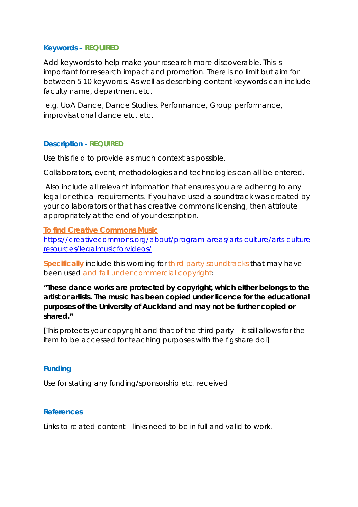## **Keywords – REQUIRED**

Add keywords to help make your research more discoverable. This is important for research impact and promotion. There is no limit but aim for between 5-10 keywords. As well as describing content keywords can include faculty name, department etc.

e.g. UoA Dance, Dance Studies, Performance, Group performance, improvisational dance etc. etc.

## **Description - REQUIRED**

Use this field to provide as much context as possible.

Collaborators, event, methodologies and technologies can all be entered.

Also include all relevant information that ensures you are adhering to any legal or ethical requirements. If you have used a soundtrack was created by your collaborators or that has creative commons licensing, then attribute appropriately at the end of your description.

**To find Creative Commons Music**

[https://creativecommons.org/about/program-areas/arts-culture/arts-culture](https://creativecommons.org/about/program-areas/arts-culture/arts-culture-resources/legalmusicforvideos/)[resources/legalmusicforvideos/](https://creativecommons.org/about/program-areas/arts-culture/arts-culture-resources/legalmusicforvideos/)

**Specifically** include this wording for third-party soundtracks that may have been used and fall under commercial copyright:

*"These dance works are protected by copyright, which either belongs to the artist or artists. The music has been copied under licence for the educational purposes of the University of Auckland and may not be further copied or shared."*

[This protects your copyright and that of the third party – it still allows for the item to be accessed for teaching purposes with the figshare doi]

## **Funding**

Use for stating any funding/sponsorship etc. received

## **References**

Links to related content – links need to be in full and valid to work.